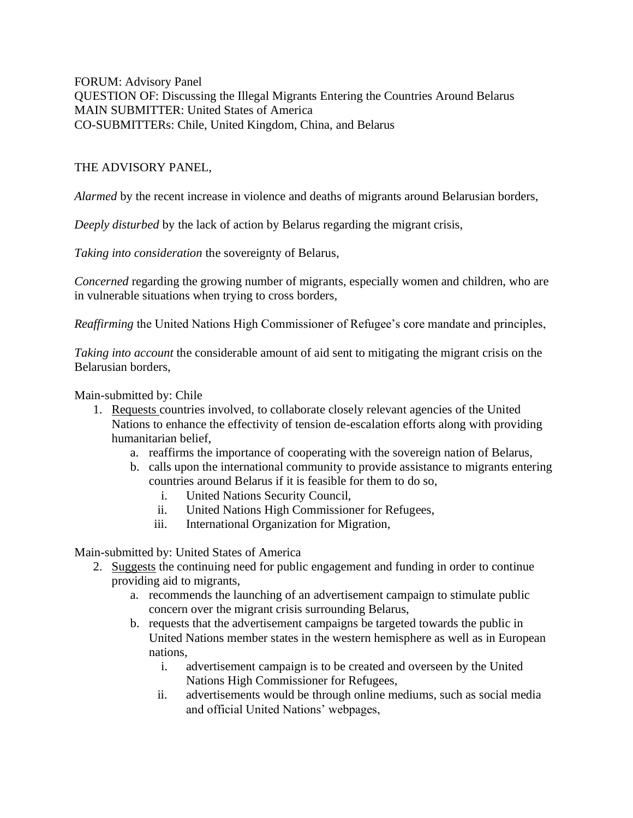FORUM: Advisory Panel QUESTION OF: Discussing the Illegal Migrants Entering the Countries Around Belarus MAIN SUBMITTER: United States of America CO-SUBMITTERs: Chile, United Kingdom, China, and Belarus

## THE ADVISORY PANEL,

*Alarmed* by the recent increase in violence and deaths of migrants around Belarusian borders,

*Deeply disturbed* by the lack of action by Belarus regarding the migrant crisis,

*Taking into consideration* the sovereignty of Belarus,

*Concerned* regarding the growing number of migrants, especially women and children, who are in vulnerable situations when trying to cross borders,

*Reaffirming* the United Nations High Commissioner of Refugee's core mandate and principles,

*Taking into account* the considerable amount of aid sent to mitigating the migrant crisis on the Belarusian borders,

## Main-submitted by: Chile

- 1. Requests countries involved, to collaborate closely relevant agencies of the United Nations to enhance the effectivity of tension de-escalation efforts along with providing humanitarian belief,
	- a. reaffirms the importance of cooperating with the sovereign nation of Belarus,
	- b. calls upon the international community to provide assistance to migrants entering countries around Belarus if it is feasible for them to do so,
		- i. United Nations Security Council,
		- ii. United Nations High Commissioner for Refugees,
		- iii. International Organization for Migration,

Main-submitted by: United States of America

- 2. Suggests the continuing need for public engagement and funding in order to continue providing aid to migrants,
	- a. recommends the launching of an advertisement campaign to stimulate public concern over the migrant crisis surrounding Belarus,
	- b. requests that the advertisement campaigns be targeted towards the public in United Nations member states in the western hemisphere as well as in European nations,
		- i. advertisement campaign is to be created and overseen by the United Nations High Commissioner for Refugees,
		- ii. advertisements would be through online mediums, such as social media and official United Nations' webpages,